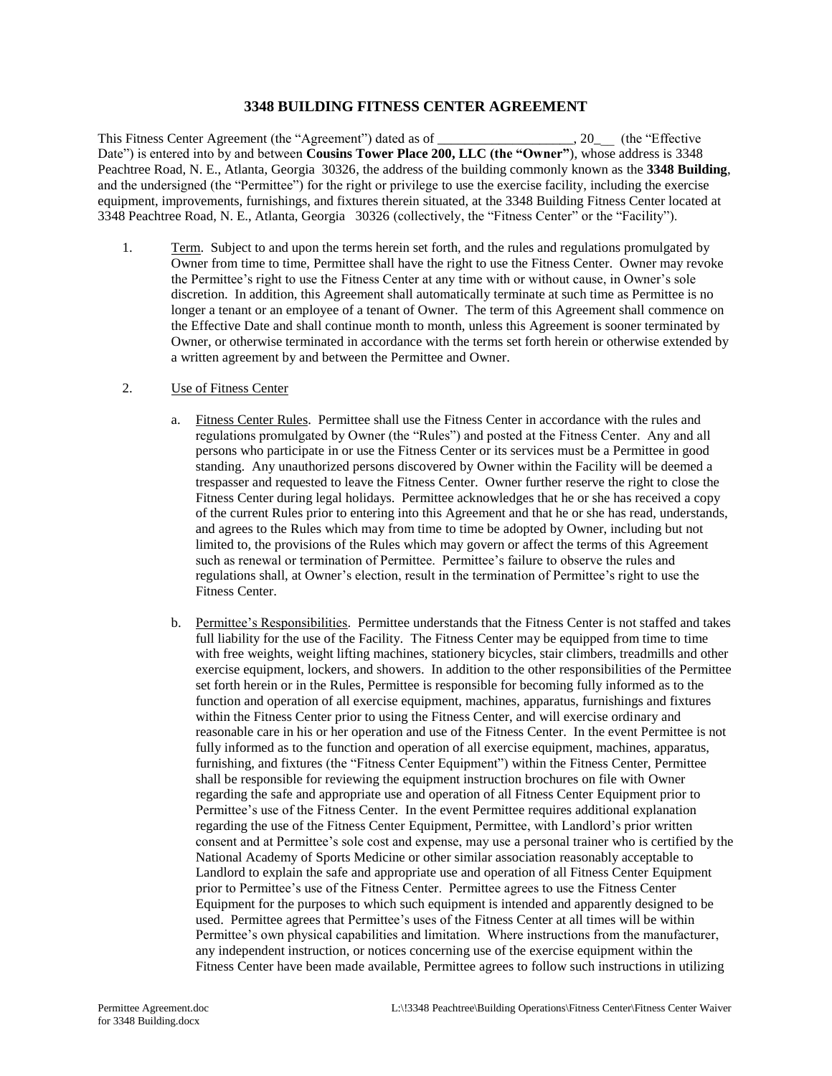## **3348 BUILDING FITNESS CENTER AGREEMENT**

This Fitness Center Agreement (the "Agreement") dated as of \_\_\_\_\_\_\_\_\_\_\_\_\_\_\_\_\_\_\_\_, 20\_\_\_ (the "Effective Date") is entered into by and between **Cousins Tower Place 200, LLC (the "Owner"**), whose address is 3348 Peachtree Road, N. E., Atlanta, Georgia 30326, the address of the building commonly known as the **3348 Building**, and the undersigned (the "Permittee") for the right or privilege to use the exercise facility, including the exercise equipment, improvements, furnishings, and fixtures therein situated, at the 3348 Building Fitness Center located at 3348 Peachtree Road, N. E., Atlanta, Georgia 30326 (collectively, the "Fitness Center" or the "Facility").

1. Term. Subject to and upon the terms herein set forth, and the rules and regulations promulgated by Owner from time to time, Permittee shall have the right to use the Fitness Center. Owner may revoke the Permittee's right to use the Fitness Center at any time with or without cause, in Owner's sole discretion. In addition, this Agreement shall automatically terminate at such time as Permittee is no longer a tenant or an employee of a tenant of Owner. The term of this Agreement shall commence on the Effective Date and shall continue month to month, unless this Agreement is sooner terminated by Owner, or otherwise terminated in accordance with the terms set forth herein or otherwise extended by a written agreement by and between the Permittee and Owner.

## 2. Use of Fitness Center

- a. Fitness Center Rules. Permittee shall use the Fitness Center in accordance with the rules and regulations promulgated by Owner (the "Rules") and posted at the Fitness Center. Any and all persons who participate in or use the Fitness Center or its services must be a Permittee in good standing. Any unauthorized persons discovered by Owner within the Facility will be deemed a trespasser and requested to leave the Fitness Center. Owner further reserve the right to close the Fitness Center during legal holidays. Permittee acknowledges that he or she has received a copy of the current Rules prior to entering into this Agreement and that he or she has read, understands, and agrees to the Rules which may from time to time be adopted by Owner, including but not limited to, the provisions of the Rules which may govern or affect the terms of this Agreement such as renewal or termination of Permittee. Permittee's failure to observe the rules and regulations shall, at Owner's election, result in the termination of Permittee's right to use the Fitness Center.
- b. Permittee's Responsibilities. Permittee understands that the Fitness Center is not staffed and takes full liability for the use of the Facility. The Fitness Center may be equipped from time to time with free weights, weight lifting machines, stationery bicycles, stair climbers, treadmills and other exercise equipment, lockers, and showers. In addition to the other responsibilities of the Permittee set forth herein or in the Rules, Permittee is responsible for becoming fully informed as to the function and operation of all exercise equipment, machines, apparatus, furnishings and fixtures within the Fitness Center prior to using the Fitness Center, and will exercise ordinary and reasonable care in his or her operation and use of the Fitness Center. In the event Permittee is not fully informed as to the function and operation of all exercise equipment, machines, apparatus, furnishing, and fixtures (the "Fitness Center Equipment") within the Fitness Center, Permittee shall be responsible for reviewing the equipment instruction brochures on file with Owner regarding the safe and appropriate use and operation of all Fitness Center Equipment prior to Permittee's use of the Fitness Center. In the event Permittee requires additional explanation regarding the use of the Fitness Center Equipment, Permittee, with Landlord's prior written consent and at Permittee's sole cost and expense, may use a personal trainer who is certified by the National Academy of Sports Medicine or other similar association reasonably acceptable to Landlord to explain the safe and appropriate use and operation of all Fitness Center Equipment prior to Permittee's use of the Fitness Center. Permittee agrees to use the Fitness Center Equipment for the purposes to which such equipment is intended and apparently designed to be used. Permittee agrees that Permittee's uses of the Fitness Center at all times will be within Permittee's own physical capabilities and limitation. Where instructions from the manufacturer, any independent instruction, or notices concerning use of the exercise equipment within the Fitness Center have been made available, Permittee agrees to follow such instructions in utilizing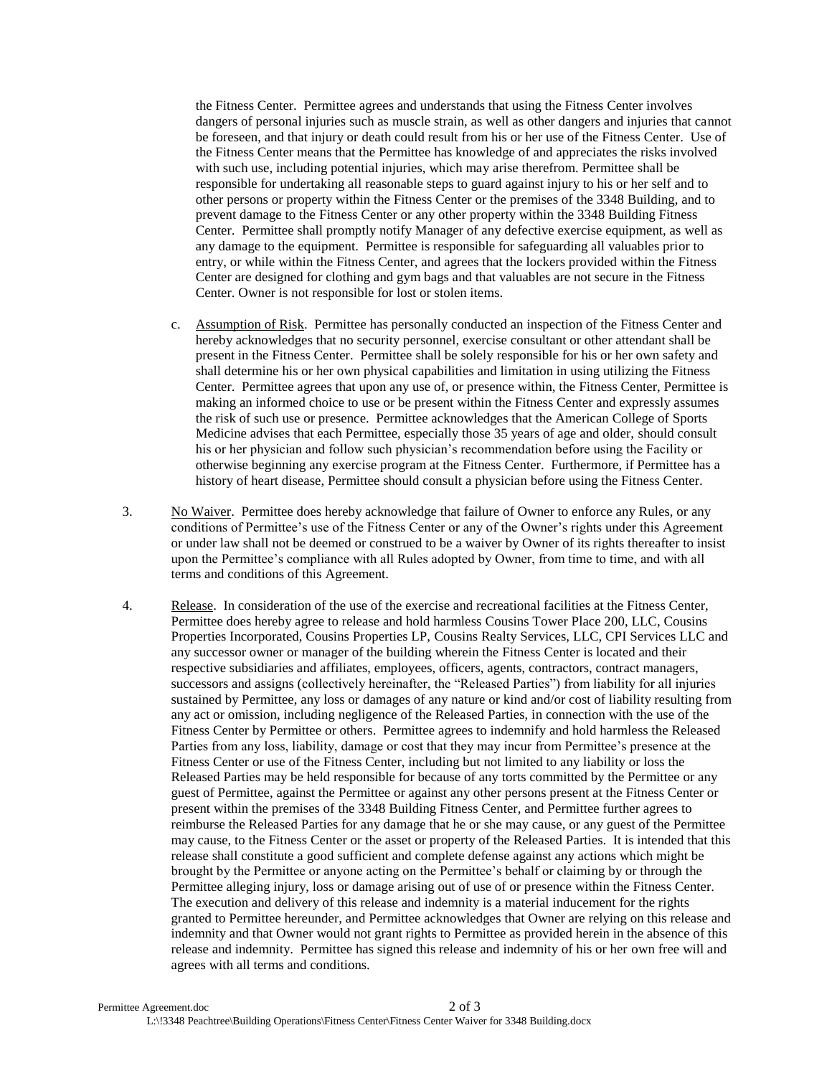the Fitness Center. Permittee agrees and understands that using the Fitness Center involves dangers of personal injuries such as muscle strain, as well as other dangers and injuries that cannot be foreseen, and that injury or death could result from his or her use of the Fitness Center. Use of the Fitness Center means that the Permittee has knowledge of and appreciates the risks involved with such use, including potential injuries, which may arise therefrom. Permittee shall be responsible for undertaking all reasonable steps to guard against injury to his or her self and to other persons or property within the Fitness Center or the premises of the 3348 Building, and to prevent damage to the Fitness Center or any other property within the 3348 Building Fitness Center. Permittee shall promptly notify Manager of any defective exercise equipment, as well as any damage to the equipment. Permittee is responsible for safeguarding all valuables prior to entry, or while within the Fitness Center, and agrees that the lockers provided within the Fitness Center are designed for clothing and gym bags and that valuables are not secure in the Fitness Center. Owner is not responsible for lost or stolen items.

- c. Assumption of Risk. Permittee has personally conducted an inspection of the Fitness Center and hereby acknowledges that no security personnel, exercise consultant or other attendant shall be present in the Fitness Center. Permittee shall be solely responsible for his or her own safety and shall determine his or her own physical capabilities and limitation in using utilizing the Fitness Center. Permittee agrees that upon any use of, or presence within, the Fitness Center, Permittee is making an informed choice to use or be present within the Fitness Center and expressly assumes the risk of such use or presence. Permittee acknowledges that the American College of Sports Medicine advises that each Permittee, especially those 35 years of age and older, should consult his or her physician and follow such physician's recommendation before using the Facility or otherwise beginning any exercise program at the Fitness Center. Furthermore, if Permittee has a history of heart disease, Permittee should consult a physician before using the Fitness Center.
- 3. No Waiver. Permittee does hereby acknowledge that failure of Owner to enforce any Rules, or any conditions of Permittee's use of the Fitness Center or any of the Owner's rights under this Agreement or under law shall not be deemed or construed to be a waiver by Owner of its rights thereafter to insist upon the Permittee's compliance with all Rules adopted by Owner, from time to time, and with all terms and conditions of this Agreement.
- 4. Release. In consideration of the use of the exercise and recreational facilities at the Fitness Center, Permittee does hereby agree to release and hold harmless Cousins Tower Place 200, LLC, Cousins Properties Incorporated, Cousins Properties LP, Cousins Realty Services, LLC, CPI Services LLC and any successor owner or manager of the building wherein the Fitness Center is located and their respective subsidiaries and affiliates, employees, officers, agents, contractors, contract managers, successors and assigns (collectively hereinafter, the "Released Parties") from liability for all injuries sustained by Permittee, any loss or damages of any nature or kind and/or cost of liability resulting from any act or omission, including negligence of the Released Parties, in connection with the use of the Fitness Center by Permittee or others. Permittee agrees to indemnify and hold harmless the Released Parties from any loss, liability, damage or cost that they may incur from Permittee's presence at the Fitness Center or use of the Fitness Center, including but not limited to any liability or loss the Released Parties may be held responsible for because of any torts committed by the Permittee or any guest of Permittee, against the Permittee or against any other persons present at the Fitness Center or present within the premises of the 3348 Building Fitness Center, and Permittee further agrees to reimburse the Released Parties for any damage that he or she may cause, or any guest of the Permittee may cause, to the Fitness Center or the asset or property of the Released Parties. It is intended that this release shall constitute a good sufficient and complete defense against any actions which might be brought by the Permittee or anyone acting on the Permittee's behalf or claiming by or through the Permittee alleging injury, loss or damage arising out of use of or presence within the Fitness Center. The execution and delivery of this release and indemnity is a material inducement for the rights granted to Permittee hereunder, and Permittee acknowledges that Owner are relying on this release and indemnity and that Owner would not grant rights to Permittee as provided herein in the absence of this release and indemnity. Permittee has signed this release and indemnity of his or her own free will and agrees with all terms and conditions.